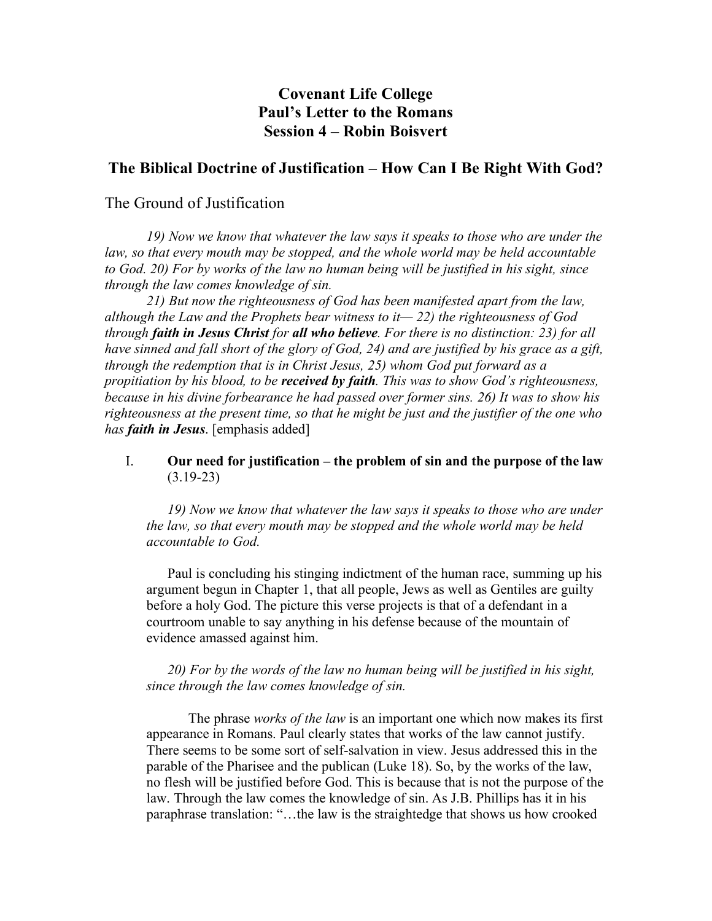# **Covenant Life College Paul's Letter to the Romans Session 4 – Robin Boisvert**

## **The Biblical Doctrine of Justification – How Can I Be Right With God?**

## The Ground of Justification

*19) Now we know that whatever the law says it speaks to those who are under the law, so that every mouth may be stopped, and the whole world may be held accountable to God. 20) For by works of the law no human being will be justified in his sight, since through the law comes knowledge of sin.*

*21) But now the righteousness of God has been manifested apart from the law, although the Law and the Prophets bear witness to it— 22) the righteousness of God through faith in Jesus Christ for all who believe. For there is no distinction: 23) for all have sinned and fall short of the glory of God, 24) and are justified by his grace as a gift, through the redemption that is in Christ Jesus, 25) whom God put forward as a propitiation by his blood, to be received by faith. This was to show God's righteousness, because in his divine forbearance he had passed over former sins. 26) It was to show his righteousness at the present time, so that he might be just and the justifier of the one who has faith in Jesus*. [emphasis added]

#### I. **Our need for justification – the problem of sin and the purpose of the law**  $(3.19-23)$

*19) Now we know that whatever the law says it speaks to those who are under the law, so that every mouth may be stopped and the whole world may be held accountable to God.*

Paul is concluding his stinging indictment of the human race, summing up his argument begun in Chapter 1, that all people, Jews as well as Gentiles are guilty before a holy God. The picture this verse projects is that of a defendant in a courtroom unable to say anything in his defense because of the mountain of evidence amassed against him.

## *20) For by the words of the law no human being will be justified in his sight, since through the law comes knowledge of sin.*

The phrase *works of the law* is an important one which now makes its first appearance in Romans. Paul clearly states that works of the law cannot justify. There seems to be some sort of self-salvation in view. Jesus addressed this in the parable of the Pharisee and the publican (Luke 18). So, by the works of the law, no flesh will be justified before God. This is because that is not the purpose of the law. Through the law comes the knowledge of sin. As J.B. Phillips has it in his paraphrase translation: "…the law is the straightedge that shows us how crooked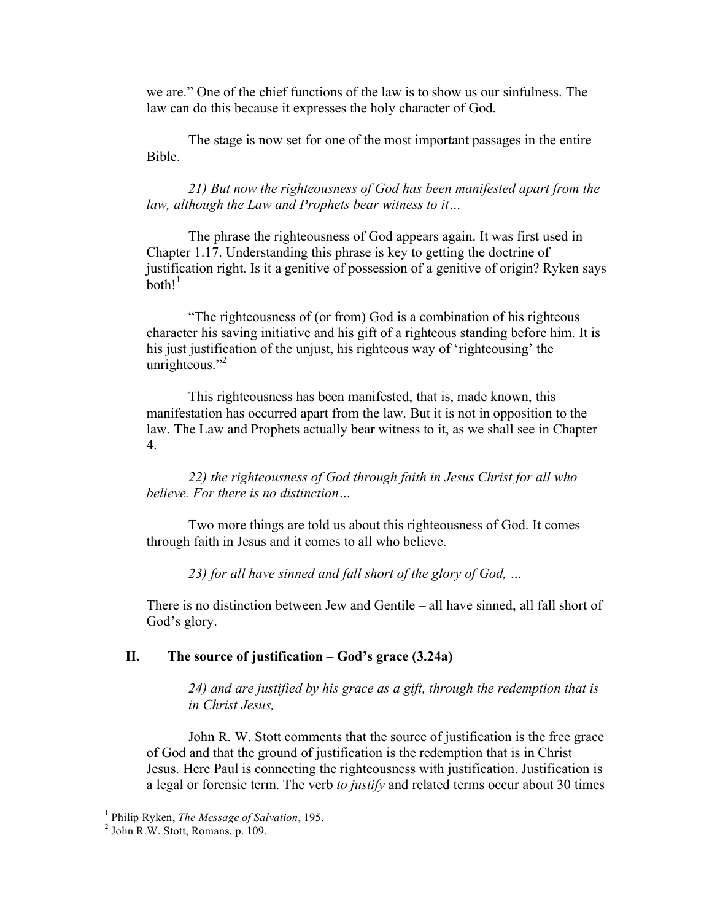we are." One of the chief functions of the law is to show us our sinfulness. The law can do this because it expresses the holy character of God.

The stage is now set for one of the most important passages in the entire Bible.

*21) But now the righteousness of God has been manifested apart from the law, although the Law and Prophets bear witness to it…*

The phrase the righteousness of God appears again. It was first used in Chapter 1.17. Understanding this phrase is key to getting the doctrine of justification right. Is it a genitive of possession of a genitive of origin? Ryken says  $both!^1$ 

"The righteousness of (or from) God is a combination of his righteous character his saving initiative and his gift of a righteous standing before him. It is his just justification of the unjust, his righteous way of 'righteousing' the unrighteous."<sup>2</sup>

This righteousness has been manifested, that is, made known, this manifestation has occurred apart from the law. But it is not in opposition to the law. The Law and Prophets actually bear witness to it, as we shall see in Chapter 4.

*22) the righteousness of God through faith in Jesus Christ for all who believe. For there is no distinction…*

Two more things are told us about this righteousness of God. It comes through faith in Jesus and it comes to all who believe.

*23) for all have sinned and fall short of the glory of God, …*

There is no distinction between Jew and Gentile – all have sinned, all fall short of God's glory.

#### **II. The source of justification – God's grace (3.24a)**

*24) and are justified by his grace as a gift, through the redemption that is in Christ Jesus,*

John R. W. Stott comments that the source of justification is the free grace of God and that the ground of justification is the redemption that is in Christ Jesus. Here Paul is connecting the righteousness with justification. Justification is a legal or forensic term. The verb *to justify* and related terms occur about 30 times

<sup>1</sup> Philip Ryken, *The Message of Salvation*, 195. <sup>2</sup> John R.W. Stott, Romans, p. 109.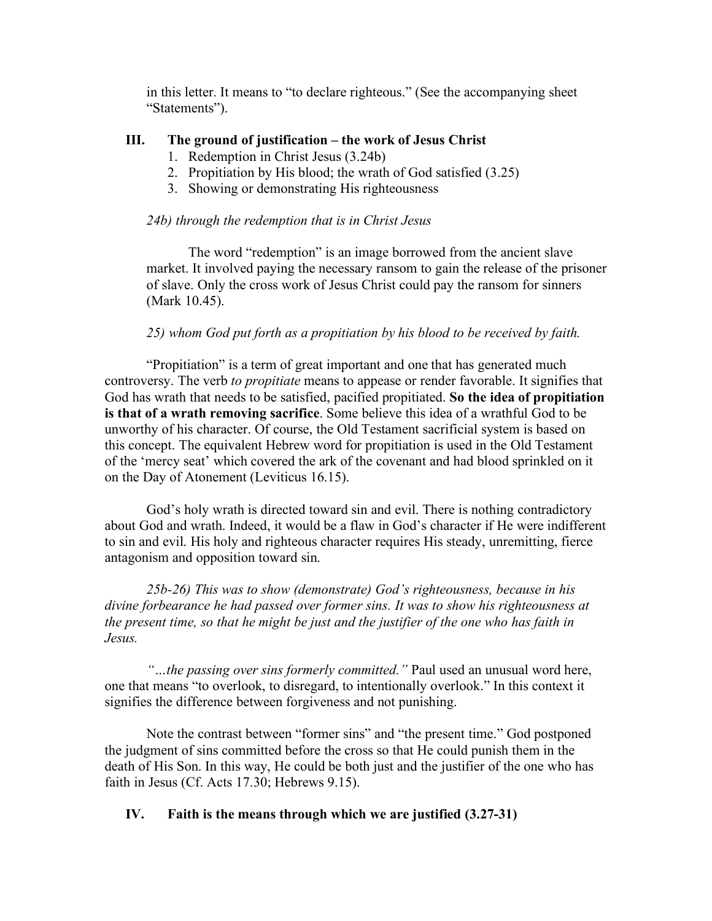in this letter. It means to "to declare righteous." (See the accompanying sheet "Statements").

## **III. The ground of justification – the work of Jesus Christ**

- 1. Redemption in Christ Jesus (3.24b)
- 2. Propitiation by His blood; the wrath of God satisfied (3.25)
- 3. Showing or demonstrating His righteousness

### *24b) through the redemption that is in Christ Jesus*

The word "redemption" is an image borrowed from the ancient slave market. It involved paying the necessary ransom to gain the release of the prisoner of slave. Only the cross work of Jesus Christ could pay the ransom for sinners (Mark 10.45).

#### *25) whom God put forth as a propitiation by his blood to be received by faith.*

"Propitiation" is a term of great important and one that has generated much controversy. The verb *to propitiate* means to appease or render favorable. It signifies that God has wrath that needs to be satisfied, pacified propitiated. **So the idea of propitiation is that of a wrath removing sacrifice**. Some believe this idea of a wrathful God to be unworthy of his character. Of course, the Old Testament sacrificial system is based on this concept. The equivalent Hebrew word for propitiation is used in the Old Testament of the 'mercy seat' which covered the ark of the covenant and had blood sprinkled on it on the Day of Atonement (Leviticus 16.15).

God's holy wrath is directed toward sin and evil. There is nothing contradictory about God and wrath. Indeed, it would be a flaw in God's character if He were indifferent to sin and evil. His holy and righteous character requires His steady, unremitting, fierce antagonism and opposition toward sin.

*25b-26) This was to show (demonstrate) God's righteousness, because in his divine forbearance he had passed over former sins. It was to show his righteousness at the present time, so that he might be just and the justifier of the one who has faith in Jesus.*

*"…the passing over sins formerly committed."* Paul used an unusual word here, one that means "to overlook, to disregard, to intentionally overlook." In this context it signifies the difference between forgiveness and not punishing.

Note the contrast between "former sins" and "the present time." God postponed the judgment of sins committed before the cross so that He could punish them in the death of His Son. In this way, He could be both just and the justifier of the one who has faith in Jesus (Cf. Acts 17.30; Hebrews 9.15).

#### **IV. Faith is the means through which we are justified (3.27-31)**